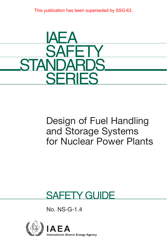

# Design of Fuel Handling and Storage Systems for Nuclear Power Plants

# SAFETY GUIDE

No. NS-G-1.4

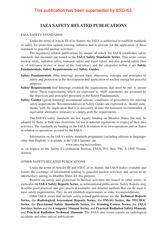## **IAEA SAFETY RELATED PUBLICATIONS**

#### IAEA SAFETY STANDARDS

Under the terms of Article III of its Statute, the IAEA is authorized to establish standards of safety for protection against ionizing radiation and to provide for the application of these standards to peaceful nuclear activities.

The regulatory related publications by means of which the IAEA establishes safety standards and measures are issued in the **IAEA Safety Standards Series**. This series covers nuclear safety, radiation safety, transport safety and waste safety, and also general safety (that is, of relevance in two or more of the four areas), and the categories within it are **Safety Fundamentals**, **Safety Requirements** and **Safety Guides.**

- **Safety Fundamentals** (blue lettering) present basic objectives, concepts and principles of safety and protection in the development and application of nuclear energy for peaceful purposes.
- **Safety Requirements** (red lettering) establish the requirements that must be met to ensure safety. These requirements, which are expressed as 'shall' statements, are governed by the objectives and principles presented in the Safety Fundamentals.
- **Safety Guides** (green lettering) recommend actions, conditions or procedures for meeting safety requirements. Recommendations in Safety Guides are expressed as 'should' statements, with the implication that it is necessary to take the measures recommended or equivalent alternative measures to comply with the requirements.

The IAEA's safety standards are not legally binding on Member States but may be adopted by them, at their own discretion, for use in national regulations in respect of their own activities. The standards are binding on the IAEA in relation to its own operations and on States in relation to operations assisted by the IAEA.

Information on the IAEA's safety standards programme (including editions in languages other than English) is available at the IAEA Internet site

www.iaea.org/ns/coordinet

or on request to the Safety Co-ordination Section, IAEA, P.O. Box 100, A-1400 Vienna, Austria.

#### OTHER SAFETY RELATED PUBLICATIONS

Under the terms of Articles III and VIII.C of its Statute, the IAEA makes available and fosters the exchange of information relating to peaceful nuclear activities and serves as an intermediary among its Member States for this purpose.

Reports on safety and protection in nuclear activities are issued in other series, in particular the **IAEA Safety Reports Series**, as informational publications. Safety Reports may describe good practices and give practical examples and detailed methods that can be used to meet safety requirements. They do not establish requirements or make recommendations.

Other IAEA series that include safety related publications are the **Technical Reports Series,** the **Radiological Assessment Reports Series,** the **INSAG Series, the TECDOC Series**, the **Provisional Safety Standards Series**, the **Training Course Series,** the **IAEA Services Series** and the **Computer Manual Series**, and **Practical Radiation Safety Manuals** and **Practical Radiation Technical Manuals**. The IAEA also issues reports on radiological accidents and other special publications.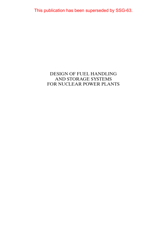## DESIGN OF FUEL HANDLING AND STORAGE SYSTEMS FOR NUCLEAR POWER PLANTS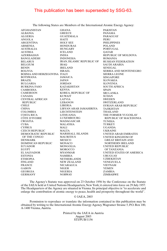The following States are Members of the International Atomic Energy Agency:

AFGHANISTAN ALBANIA ALGERIA ANGOLA ARGENTINA ARMENIA AUSTRALIA AUSTRIA AZERBAIJAN BANGLADESH BELARUS BELGIUM BENIN BOLIVIA BOSNIA AND HERZEGOVINA ITALY BOTSWANA JAMAICA BRAZIL BULGARIA BURKINA FASO CAMBODIA CAMEROON CANADA CENTRAL AFRICAN REPUBLIC CHILE **CHINA** COLOMBIA COSTA RICA CÔTE D'IVOIRE CROATIA **CUBA CYPRUS** CZECH REPUBLIC DEMOCRATIC REPUBLIC OF THE CONGO DENMARK DOMINICAN REPUBLIC MONACO ECUADOR EGYPT EL SALVADOR ESTONIA ETHIOPIA FINLAND FRANCE GABON GEORGIA GERMANY GHANA HAITI INDIA IRAQ JAPAN LATVIA MALI NIGER

**GREECE** GUATEMALA HOLY SEE HONDURAS HUNGARY ICELAND INDONESIA IRAN, ISLAMIC REPUBLIC OF RUSSIAN FEDERATION IRELAND ISRAEL JORDAN KAZAKHSTAN KENYA KOREA, REPUBLIC OF KUWAIT LEBANON LIBERIA LIBYAN ARAB JAMAHIRIYA LIECHTENSTEIN LITHUANIA LUXEMBOURG MADAGASCAR MALAYSIA MALTA MARSHALL ISLANDS MAURITIUS MEXICO MONGOLIA MOROCCO MYANMAR NAMIBIA NETHERLANDS NEW ZEALAND NICARAGUA NIGERIA NORWAY

PAKISTAN PANAMA PARAGUAY PERU PHILIPPINES POLAND PORTUGAL QATAR REPUBLIC OF MOLDOVA ROMANIA SAUDI ARABIA SENEGAL SERBIA AND MONTENEGRO SIERRA LEONE SINGAPORE SLOVAKIA SLOVENIA SOUTH AFRICA SPAIN SRI LANKA SUDAN SWEDEN **SWITZERLAND** SYRIAN ARAB REPUBLIC TAJIKISTAN THAILAND THE FORMER YUGOSLAV REPUBLIC OF MACEDONIA TUNISIA TURKEY UGANDA UKRAINE UNITED ARAB EMIRATES UNITED KINGDOM OF GREAT BRITAIN AND NORTHERN IRELAND UNITED REPUBLIC OF TANZANIA UNITED STATES OF AMERICA URUGUAY UZBEKISTAN VENEZUELA VIETNAM YEMEN ZAMBIA ZIMBABWE

The Agency's Statute was approved on 23 October 1956 by the Conference on the Statute of the IAEA held at United Nations Headquarters, New York; it entered into force on 29 July 1957. The Headquarters of the Agency are situated in Vienna. Its principal objective is "to accelerate and enlarge the contribution of atomic energy to peace, health and prosperity throughout the world''.

#### © IAEA, 2003

Permission to reproduce or translate the information contained in this publication may be obtained by writing to the International Atomic Energy Agency, Wagramer Strasse 5, P.O. Box 100, A-1400 Vienna, Austria.

> Printed by the IAEA in Austria August 2003 STI/PUB/1156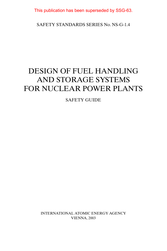SAFETY STANDARDS SERIES No. NS-G-1.4

## DESIGN OF FUEL HANDLING AND STORAGE SYSTEMS FOR NUCLEAR POWER PLANTS

SAFETY GUIDE

INTERNATIONAL ATOMIC ENERGY AGENCY VIENNA, 2003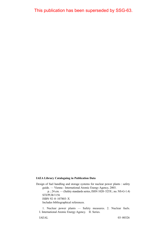#### **IAEA Library Cataloguing in Publication Data**

Design of fuel handling and storage systems for nuclear power plants : safety guide. — Vienna : International Atomic Energy Agency, 2003. p. ; 24 cm. — (Safety standards series, ISSN 1020–525X ; no. NS-G-1.4) STI/PUB/1156 ISBN 92–0–107803–X Includes bibliographical references.

1. Nuclear power plants — Safety measures. 2. Nuclear fuels. I. International Atomic Energy Agency. II. Series.

IAEAL 03–00326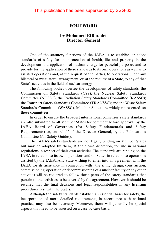#### **FOREWORD**

#### **by Mohamed ElBaradei Director General**

One of the statutory functions of the IAEA is to establish or adopt standards of safety for the protection of health, life and property in the development and application of nuclear energy for peaceful purposes, and to provide for the application of these standards to its own operations as well as to assisted operations and, at the request of the parties, to operations under any bilateral or multilateral arrangement, or, at the request of a State, to any of that State's activities in the field of nuclear energy.

The following bodies oversee the development of safety standards: the Commission on Safety Standards (CSS); the Nuclear Safety Standards Committee (NUSSC); the Radiation Safety Standards Committee (RASSC); the Transport Safety Standards Committee (TRANSSC); and the Waste Safety Standards Committee (WASSC). Member States are widely represented on these committees.

In order to ensure the broadest international consensus, safety standards are also submitted to all Member States for comment before approval by the IAEA Board of Governors (for Safety Fundamentals and Safety Requirements) or, on behalf of the Director General, by the Publications Committee (for Safety Guides).

The IAEA's safety standards are not legally binding on Member States but may be adopted by them, at their own discretion, for use in national regulations in respect of their own activities. The standards are binding on the IAEA in relation to its own operations and on States in relation to operations assisted by the IAEA. Any State wishing to enter into an agreement with the IAEA for its assistance in connection with the siting, design, construction, commissioning, operation or decommissioning of a nuclear facility or any other activities will be required to follow those parts of the safety standards that pertain to the activities to be covered by the agreement. However, it should be recalled that the final decisions and legal responsibilities in any licensing procedures rest with the States.

Although the safety standards establish an essential basis for safety, the incorporation of more detailed requirements, in accordance with national practice, may also be necessary. Moreover, there will generally be special aspects that need to be assessed on a case by case basis.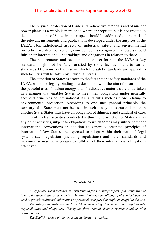The physical protection of fissile and radioactive materials and of nuclear power plants as a whole is mentioned where appropriate but is not treated in detail; obligations of States in this respect should be addressed on the basis of the relevant instruments and publications developed under the auspices of the IAEA. Non-radiological aspects of industrial safety and environmental protection are also not explicitly considered; it is recognized that States should fulfil their international undertakings and obligations in relation to these.

The requirements and recommendations set forth in the IAEA safety standards might not be fully satisfied by some facilities built to earlier standards. Decisions on the way in which the safety standards are applied to such facilities will be taken by individual States.

The attention of States is drawn to the fact that the safety standards of the IAEA, while not legally binding, are developed with the aim of ensuring that the peaceful uses of nuclear energy and of radioactive materials are undertaken in a manner that enables States to meet their obligations under generally accepted principles of international law and rules such as those relating to environmental protection. According to one such general principle, the territory of a State must not be used in such a way as to cause damage in another State. States thus have an obligation of diligence and standard of care.

Civil nuclear activities conducted within the jurisdiction of States are, as any other activities, subject to obligations to which States may subscribe under international conventions, in addition to generally accepted principles of international law. States are expected to adopt within their national legal systems such legislation (including regulations) and other standards and measures as may be necessary to fulfil all of their international obligations effectively.

#### *EDITORIAL NOTE*

*An appendix, when included, is considered to form an integral part of the standard and to have the same status as the main text. Annexes, footnotes and bibliographies, if included, are used to provide additional information or practical examples that might be helpful to the user.*

*The safety standards use the form 'shall' in making statements about requirements, responsibilities and obligations. Use of the form 'should' denotes recommendations of a desired option.*

*The English version of the text is the authoritative version.*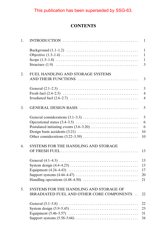## **CONTENTS**

| 1. |                                                                                      | $\mathbf{1}$                                       |
|----|--------------------------------------------------------------------------------------|----------------------------------------------------|
|    |                                                                                      | $\mathbf{1}$<br>$\mathbf{1}$<br>$\mathbf{1}$<br>3  |
| 2. | FUEL HANDLING AND STORAGE SYSTEMS<br>AND THEIR FUNCTIONS                             | 3                                                  |
|    |                                                                                      | $\overline{3}$<br>$\overline{4}$<br>$\overline{4}$ |
| 3. | GENERAL DESIGN BASIS                                                                 | 5                                                  |
|    |                                                                                      | 5<br>6<br>6<br>10<br>10                            |
| 4. | SYSTEMS FOR THE HANDLING AND STORAGE                                                 | 13                                                 |
|    |                                                                                      | 13<br>13<br>17<br>20<br>21                         |
| 5. | SYSTEMS FOR THE HANDLING AND STORAGE OF<br>IRRADIATED FUEL AND OTHER CORE COMPONENTS | 22                                                 |
|    |                                                                                      | 22<br>23<br>31<br>34                               |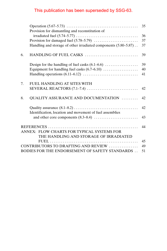|    |                                                                 | 35 |  |
|----|-----------------------------------------------------------------|----|--|
|    | Provision for dismantling and reconstitution of                 |    |  |
|    |                                                                 | 36 |  |
|    |                                                                 | 37 |  |
|    | Handling and storage of other irradiated components (5.80–5.87) | 37 |  |
| 6. | HANDLING OF FUEL CASKS                                          | 39 |  |
|    |                                                                 | 39 |  |
|    |                                                                 | 40 |  |
|    | Equipment for handling fuel casks (6.7–6.10)                    |    |  |
|    |                                                                 | 41 |  |
| 7. | <b>FUEL HANDLING AT SITES WITH</b>                              |    |  |
|    |                                                                 | 42 |  |
| 8. | <b>QUALITY ASSURANCE AND DOCUMENTATION </b>                     | 42 |  |
|    |                                                                 | 42 |  |
|    | Identification, location and movement of fuel assemblies        |    |  |
|    |                                                                 | 43 |  |
|    |                                                                 | 44 |  |
|    | ANNEX: FLOW CHARTS FOR TYPICAL SYSTEMS FOR                      |    |  |
|    | THE HANDLING AND STORAGE OF IRRADIATED                          |    |  |
|    |                                                                 | 45 |  |
|    | CONTRIBUTORS TO DRAFTING AND REVIEW                             |    |  |
|    | <b>BODIES FOR THE ENDORSEMENT OF SAFETY STANDARDS</b>           |    |  |
|    | 51                                                              |    |  |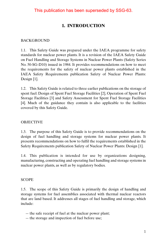## **1. INTRODUCTION**

#### BACKGROUND

1.1. This Safety Guide was prepared under the IAEA programme for safety standards for nuclear power plants. It is a revision of the IAEA Safety Guide on Fuel Handling and Storage Systems in Nuclear Power Plants (Safety Series No. 50-SG-D10) issued in 1984. It provides recommendations on how to meet the requirements for the safety of nuclear power plants established in the IAEA Safety Requirements publication Safety of Nuclear Power Plants: Design [1].

1.2. This Safety Guide is related to three earlier publications on the storage of spent fuel: Design of Spent Fuel Storage Facilities [2], Operation of Spent Fuel Storage Facilities [3] and Safety Assessment for Spent Fuel Storage Facilities [4]. Much of the guidance they contain is also applicable to the facilities covered by this Safety Guide.

#### OBJECTIVE

1.3. The purpose of this Safety Guide is to provide recommendations on the design of fuel handling and storage systems for nuclear power plants. It presents recommendations on how to fulfil the requirements established in the Safety Requirements publication Safety of Nuclear Power Plants: Design [1].

1.4. This publication is intended for use by organizations designing, manufacturing, constructing and operating fuel handling and storage systems in nuclear power plants, as well as by regulatory bodies.

#### **SCOPE**

1.5. The scope of this Safety Guide is primarily the design of handling and storage systems for fuel assemblies associated with thermal nuclear reactors that are land based. It addresses all stages of fuel handling and storage, which include:

- the safe receipt of fuel at the nuclear power plant;
- the storage and inspection of fuel before use;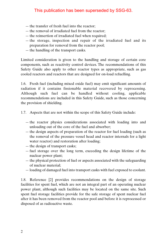- the transfer of fresh fuel into the reactor;
- the removal of irradiated fuel from the reactor;
- the reinsertion of irradiated fuel when required;
- the storage, inspection and repair of the irradiated fuel and its preparation for removal from the reactor pool;
- the handling of the transport casks.

Limited consideration is given to the handling and storage of certain core components, such as reactivity control devices. The recommendations of this Safety Guide also apply to other reactor types as appropriate, such as gas cooled reactors and reactors that are designed for on-load refuelling.

1.6. Fresh fuel (including mixed oxide fuel) may emit significant amounts of radiation if it contains fissionable material recovered by reprocessing. Although such fuel can be handled without cooling, applicable recommendations are included in this Safety Guide, such as those concerning the provision of shielding.

- 1.7. Aspects that are not within the scope of this Safety Guide include:
	- the reactor physics considerations associated with loading into and unloading out of the core of the fuel and absorber;
	- the design aspects of preparation of the reactor for fuel loading (such as the removal of the pressure vessel head and reactor internals for a light water reactor) and restoration after loading;
	- the design of transport casks;
	- fuel storage over the long term, exceeding the design lifetime of the nuclear power plant;
	- the physical protection of fuel or aspects associated with the safeguarding of nuclear material;
	- loading of damaged fuel into transport casks with fuel exposed to coolant.

1.8. Reference [2] provides recommendations on the design of storage facilities for spent fuel, which are not an integral part of an operating nuclear power plant, although such facilities may be located on the same site. Such spent fuel storage facilities provide for the safe storage of spent nuclear fuel after it has been removed from the reactor pool and before it is reprocessed or disposed of as radioactive waste.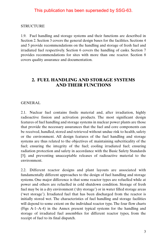#### **STRUCTURE**

1.9. Fuel handling and storage systems and their functions are described in Section 2. Section 3 covers the general design bases for the facilities. Sections 4 and 5 provide recommendations on the handling and storage of fresh fuel and irradiated fuel respectively. Section 6 covers the handling of casks. Section 7 provides recommendations for sites with more than one reactor. Section 8 covers quality assurance and documentation.

## **2. FUEL HANDLING AND STORAGE SYSTEMS AND THEIR FUNCTIONS**

#### GENERAL

2.1. Nuclear fuel contains fissile material and, after irradiation, highly radioactive fission and activation products. The most significant design features of fuel handling and storage systems in nuclear power plants are those that provide the necessary assurances that the fuel and core components can be received, handled, stored and retrieved without undue risk to health, safety or the environment. All design features of the fuel handling and storage systems are thus related to the objectives of: maintaining subcriticality of the fuel; ensuring the integrity of the fuel; cooling irradiated fuel; ensuring radiation protection and safety in accordance with the Basic Safety Standards [5]; and preventing unacceptable releases of radioactive material to the environment.

2.2. Different reactor designs and plant layouts are associated with fundamentally different approaches to the design of fuel handling and storage systems. One major difference is that some reactor types are refuelled while at power and others are refuelled in cold shutdown condition. Storage of fresh fuel may be in a dry environment ('dry storage') or in water filled storage areas ('wet storage'). Irradiated fuel that has been discharged from the reactor is initially stored wet. The characteristics of fuel handling and storage facilities will depend to some extent on the individual reactor type. The four flow charts (Figs A-1–A-4) in the Annex present typical systems for the handling and storage of irradiated fuel assemblies for different reactor types, from the receipt of fuel to its final dispatch.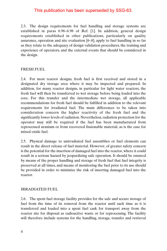2.3. The design requirements for fuel handling and storage systems are established in paras 6.96–6.98 of Ref. [1]. In addition, general design requirements established in other publications, particularly on quality assurance, operation and site evaluation [6–8], apply to fuel handling in so far as they relate to the adequacy of design validation procedures, the training and experience of operators, and the external events that should be considered in the design.

#### FRESH FUEL

2.4. For most reactor designs, fresh fuel is first received and stored in a designated dry storage area where it may be inspected and prepared. In addition, for many reactor designs, in particular for light water reactors, the fresh fuel will then be transferred to wet storage before being loaded into the core. For this transfer and the intermediate wet storage, all applicable recommendations for fresh fuel should be fulfilled in addition to the relevant requirements for irradiated fuel. The main differences to be taken into consideration concern the higher reactivity of the fresh fuel and the significantly lower levels of radiation. Nevertheless, radiation protection for the operator may still be required if the fuel has been manufactured from reprocessed uranium or from recovered fissionable material, as is the case for mixed oxide fuel.

2.5. Physical damage to unirradiated fuel assemblies or fuel elements can result in the direct release of fuel material. However, of greater safety concern is the potential for the insertion of damaged fuel into the reactor, where it could result in a serious hazard by jeopardizing safe operation. It should be ensured by means of the proper handling and storage of fresh fuel that fuel integrity is preserved at all times, and means of monitoring the fuel prior to its use should be provided in order to minimize the risk of inserting damaged fuel into the reactor.

#### IRRADIATED FUEL

2.6. The spent fuel storage facility provides for the safe and secure storage of fuel from the time of its removal from the reactor until such time as it is transferred and loaded into a spent fuel cask for transport away from the reactor site for disposal as radioactive waste or for reprocessing. The facility will therefore include systems for the handling, storage, transfer and retrieval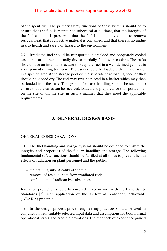of the spent fuel. The primary safety functions of these systems should be to ensure that the fuel is maintained subcritical at all times, that the integrity of the fuel cladding is preserved, that the fuel is adequately cooled to remove residual heat, that radioactive material is contained, and that there is no undue risk to health and safety or hazard to the environment.

2.7. Irradiated fuel should be transported in shielded and adequately cooled casks that are either internally dry or partially filled with coolant. The casks should have an internal structure to keep the fuel in a well defined geometric arrangement during transport. The casks should be loaded either under water in a specific area at the storage pool or in a separate cask loading pool, or they should be loaded dry. The fuel may first be placed in a basket which may then be loaded into the cask. The systems for cask handling should be such as to ensure that the casks can be received, loaded and prepared for transport, either on the site or off the site, in such a manner that they meet the applicable requirements.

## **3. GENERAL DESIGN BASIS**

#### GENERAL CONSIDERATIONS

3.1. The fuel handling and storage systems should be designed to ensure the integrity and properties of the fuel in handling and storage. The following fundamental safety functions should be fulfilled at all times to prevent health effects of radiation on plant personnel and the public:

- maintaining subcriticality of the fuel;
- removal of residual heat from irradiated fuel;
- confinement of radioactive substances.

Radiation protection should be ensured in accordance with the Basic Safety Standards [5], with application of the as low as reasonably achievable (ALARA) principle.

3.2. In the design process, proven engineering practices should be used in conjunction with suitably selected input data and assumptions for both normal operational states and credible deviations. The feedback of experience gained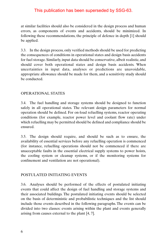at similar facilities should also be considered in the design process and human errors, as components of events and accidents, should be minimized. In following these recommendations, the principle of defence in depth [1] should be applied.

3.3. In the design process, only verified methods should be used for predicting the consequences of conditions in operational states and design basis accidents for fuel storage. Similarly, input data should be conservative, albeit realistic, and should cover both operational states and design basis accidents. When uncertainties in input data, analyses or predictions are unavoidable, appropriate allowance should be made for them, and a sensitivity study should be conducted.

#### OPERATIONAL STATES

3.4. The fuel handling and storage systems should be designed to function safely in all operational states. The relevant design parameters for normal operation should be defined. For on-load refuelling systems, reactor operating conditions (for example, reactor power level and coolant flow rate) under which refuelling may be permitted should be defined and compliance should be ensured.

3.5. The design should require, and should be such as to ensure, the availability of essential services before any refuelling operation is commenced (for instance, refuelling operations should not be commenced if there are unacceptable faults in the essential electrical supply systems to power hoists, the cooling system or cleanup systems, or if the monitoring systems for confinement and ventilation are not operational).

#### POSTULATED INITIATING EVENTS

3.6. Analyses should be performed of the effects of postulated initiating events that could affect the design of fuel handling and storage systems and their associated buildings. The postulated initiating events should be selected on the basis of deterministic and probabilistic techniques and the list should include those events described in the following paragraphs. The events can be divided into two classes: events arising within the plant and events generally arising from causes external to the plant [4, 7].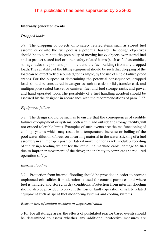#### **Internally generated events**

#### *Dropped loads*

3.7. The dropping of objects onto safety related items such as stored fuel assemblies or into the fuel pool is a potential hazard. The design objectives should be to eliminate the possibility of moving heavy objects over stored fuel and to protect stored fuel or other safety related items (such as fuel assemblies, storage racks, the pool and pool liner, and the fuel building) from any dropped loads.The reliability of the lifting equipment should be such that dropping of the load can be effectively discounted, for example, by the use of single failure proof cranes. For the purpose of determining the potential consequences, dropped loads should be considered in categories such as casks or lids, transfer cask and multipurpose sealed basket or canister, fuel and fuel storage racks, and power and hand operated tools. The possibility of a fuel handling accident should be assessed by the designer in accordance with the recommendations of para. 3.27.

#### *Equipment failure*

3.8. The design should be such as to ensure that the consequences of credible failures of equipment or systems, both within and outside the storage facility, will not exceed tolerable limits. Examples of such events are: the malfunctioning of cooling systems which may result in a temperature increase or boiling of the pool water; dilution of neutron absorbing material in the water; sticking of a fuel assembly in an improper position; lateral movement of a rack module; exceeding of the design loading weight for the refuelling machine cable; damage to fuel due to improper movement of the drive; and inability to complete the required operation safely.

#### *Internal flooding*

3.9. Protection from internal flooding should be provided in order to prevent unplanned criticalities if moderation is used for control purposes and where fuel is handled and stored in dry conditions. Protection from internal flooding should also be provided to prevent the loss or faulty operation of safety related equipment such as spent fuel monitoring systems and cooling systems.

#### *Reactor loss of coolant accident or depressurization*

3.10. For all storage areas, the effects of postulated reactor based events should be determined to assess whether any additional protective measures are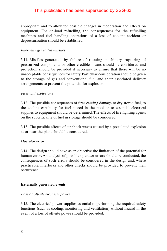appropriate and to allow for possible changes in moderation and effects on equipment. For on-load refuelling, the consequences for the refuelling machines and fuel handling operations of a loss of coolant accident or depressurization should be established.

#### *Internally generated missiles*

3.11. Missiles generated by failure of rotating machinery, rupturing of pressurized components or other credible means should be considered and protection should be provided if necessary to ensure that there will be no unacceptable consequences for safety. Particular consideration should be given to the storage of gas and conventional fuel and their associated delivery arrangements to prevent the potential for explosion.

#### *Fires and explosions*

3.12. The possible consequences of fires causing damage to dry stored fuel, to the cooling capability for fuel stored in the pool or to essential electrical supplies to equipment should be determined. The effects of fire fighting agents on the subcriticality of fuel in storage should be considered.

3.13 The possible effects of air shock waves caused by a postulated explosion at or near the plant should be considered.

#### *Operator error*

3.14. The design should have as an objective the limitation of the potential for human error. An analysis of possible operator errors should be conducted, the consequences of such errors should be considered in the design and, where practicable, interlocks and other checks should be provided to prevent their occurrence.

#### **Externally generated events**

#### *Loss of off-site electrical power*

3.15. The electrical power supplies essential to performing the required safety functions (such as cooling, monitoring and ventilation) without hazard in the event of a loss of off-site power should be provided.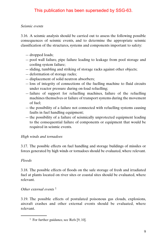#### *Seismic events*

3.16. A seismic analysis should be carried out to assess the following possible consequences of seismic events, and to determine the appropriate seismic classification of the structures, systems and components important to safety:

- dropped loads;
- pool wall failure, pipe failure leading to leakage from pool storage and cooling system failure;
- sliding, tumbling and striking of storage racks against other objects;
- deformation of storage racks;
- displacement of solid neutron absorbers;
- loss of integrity of connections of the fuelling machine to fluid circuits under reactor pressure during on-load refuelling;
- failure of support for refuelling machines, failure of the refuelling machines themselves or failure of transport systems during the movement of fuel;
- the possibility of a failure not connected with refuelling systems causing faults in fuel handling equipment;
- the possibility of a failure of seismically unprotected equipment leading to the consequential failure of components or equipment that would be required in seismic events.

#### *High winds and tornadoes*

3.17. The possible effects on fuel handling and storage buildings of missiles or forces generated by high winds or tornadoes should be evaluated, where relevant.

#### *Floods*

3.18. The possible effects of floods on the safe storage of fresh and irradiated fuel at plants located on river sites or coastal sites should be evaluated, where relevant.

#### *Other external events* <sup>1</sup>

3.19. The possible effects of postulated poisonous gas clouds, explosions, aircraft crashes and other external events should be evaluated, where relevant.

<sup>1</sup> For further guidance, see Refs [9, 10].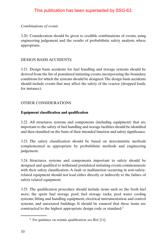#### *Combinations of events*

3.20. Consideration should be given to credible combinations of events, using engineering judgement and the results of probabilistic safety analysis, where appropriate.

#### DESIGN BASIS ACCIDENTS

3.21. Design basis accidents for fuel handling and storage systems should be derived from the list of postulated initiating events, incorporating the boundary conditions for which the systems should be designed.The design basis accidents should include events that may affect the safety of the reactor (dropped loads, for instance).

#### OTHER CONSIDERATIONS

#### **Equipment classification and qualification**

3.22. All structures, systems and components (including equipment) that are important to the safety of fuel handling and storage facilities should be identified and then classified on the basis of their intended function and safety significance.

3.23. The safety classification should be based on deterministic methods complemented as appropriate by probabilistic methods and engineering judgement.

3.24. Structures, systems and components important to safety should be designed and qualified to withstand postulated initiating events commensurate with their safety classification. A fault or malfunction occurring in non-safetyrelated equipment should not lead either directly or indirectly to the failure of safety related equipment.

3.25. The qualification procedure should include items such as: the fresh fuel store; the spent fuel storage pool; fuel storage racks; pool water cooling systems; lifting and handling equipment; electrical instrumentation and control systems; and associated buildings. It should be ensured that these items are constructed to the highest appropriate design code or standard.<sup>2</sup>

<sup>2</sup> For guidance on seismic qualification, see Ref. [11].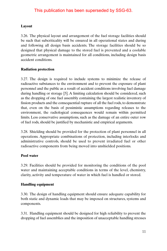#### **Layout**

3.26. The physical layout and arrangement of the fuel storage facilities should be such that subcriticality will be ensured in all operational states and during and following all design basis accidents. The storage facilities should be so designed that physical damage to the stored fuel is prevented and a coolable geometric arrangement is maintained for all conditions, including design basis accident conditions.

#### **Radiation protection**

3.27. The design is required to include systems to minimize the release of radioactive substances to the environment and to prevent the exposure of plant personnel and the public as a result of accident conditions involving fuel damage during handling or storage [5]. A limiting calculation should be considered, such as the dropping of one fuel assembly containing the largest realistic inventory of fission products and the consequential rupture of all the fuel rods, to demonstrate that, even on the basis of pessimistic assumptions regarding releases to the environment, the radiological consequences would remain within permitted limits. Less conservative assumptions, such as the damage of an entire outer row of fuel rods, should be justified by mechanistic and empirical arguments.

3.28. Shielding should be provided for the protection of plant personnel in all operations. Appropriate combinations of protection, including interlocks and administrative controls, should be used to prevent irradiated fuel or other radioactive components from being moved into unshielded positions.

#### **Pool water**

3.29. Facilities should be provided for monitoring the conditions of the pool water and maintaining acceptable conditions in terms of the level, chemistry, clarity, activity and temperature of water in which fuel is handled or stored.

#### **Handling equipment**

3.30. The design of handling equipment should ensure adequate capability for both static and dynamic loads that may be imposed on structures, systems and components.

3.31. Handling equipment should be designed for high reliability to prevent the dropping of fuel assemblies and the imposition of unacceptable handling stresses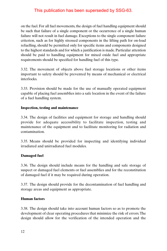on the fuel. For all fuel movements, the design of fuel handling equipment should be such that failure of a single component or the occurrence of a single human failure will not result in fuel damage. Exceptions to the single component failure criterion, such as for highly stressed components in the lifting path for on-load refuelling, should be permitted only for specific items and components designed to the highest standards and for which a justification is made. Particular attention should be paid to handling equipment for mixed oxide fuel and appropriate requirements should be specified for handling fuel of this type.

3.32. The movement of objects above fuel storage locations or other items important to safety should be prevented by means of mechanical or electrical interlocks.

3.33. Provision should be made for the use of manually operated equipment capable of placing fuel assemblies into a safe location in the event of the failure of a fuel handling system.

#### **Inspection, testing and maintenance**

3.34. The design of facilities and equipment for storage and handling should provide for adequate accessibility to facilitate inspection, testing and maintenance of the equipment and to facilitate monitoring for radiation and contamination.

3.35. Means should be provided for inspecting and identifying individual irradiated and unirradiated fuel modules.

#### **Damaged fuel**

3.36. The design should include means for the handling and safe storage of suspect or damaged fuel elements or fuel assemblies and for the reconstitution of damaged fuel if it may be required during operation.

3.37. The design should provide for the decontamination of fuel handling and storage areas and equipment as appropriate.

#### **Human factors**

3.38. The design should take into account human factors so as to promote the development of clear operating procedures that minimize the risk of errors.The design should allow for the verification of the intended operation and the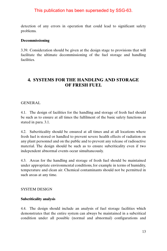detection of any errors in operation that could lead to significant safety problems.

#### **Decommissioning**

3.39. Consideration should be given at the design stage to provisions that will facilitate the ultimate decommissioning of the fuel storage and handling facilities.

## **4. SYSTEMS FOR THE HANDLING AND STORAGE OF FRESH FUEL**

#### GENERAL

4.1. The design of facilities for the handling and storage of fresh fuel should be such as to ensure at all times the fulfilment of the basic safety functions as stated in para. 3.1.

4.2. Subcriticality should be ensured at all times and at all locations where fresh fuel is stored or handled to prevent severe health effects of radiation on any plant personnel and on the public and to prevent any release of radioactive material. The design should be such as to ensure subcriticality even if two independent abnormal events occur simultaneously.

4.3. Areas for the handling and storage of fresh fuel should be maintained under appropriate environmental conditions, for example in terms of humidity, temperature and clean air. Chemical contaminants should not be permitted in such areas at any time.

#### SYSTEM DESIGN

#### **Subcriticality analysis**

4.4. The design should include an analysis of fuel storage facilities which demonstrates that the entire system can always be maintained in a subcritical condition under all possible (normal and abnormal) configurations and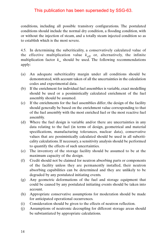conditions, including all possible transitory configurations. The postulated conditions should include the normal dry condition, a flooding condition, with or without the injection of steam, and a totally steam injected condition so as to establish which is the most severe.

4.5. In determining the subcriticality, a conservatively calculated value of the effective multiplication value  $k<sub>eff</sub>$  or, alternatively, the infinite multiplication factor  $k_{\infty}$  should be used. The following recommendations apply:

- (a) An adequate subcriticality margin under all conditions should be demonstrated, with account taken of all the uncertainties in the calculation codes and experimental data.
- (b) If the enrichment for individual fuel assemblies is variable, exact modelling should be used or a pessimistically calculated enrichment of the fuel assembly should be assumed.
- (c) If the enrichments for the fuel assemblies differ, the design of the facility should generally be based on the enrichment value corresponding to that of the fuel assembly with the most enriched fuel or the most reactive fuel assembly.
- (d) Where the fuel design is variable and/or there are uncertainties in any data relating to the fuel (in terms of design, geometrical and material specifications, manufacturing tolerances, nuclear data), conservative values that are pessimistically calculated should be used in all subcriticality calculations. If necessary, a sensitivity analysis should be performed to quantify the effects of such uncertainties.
- (e) The inventory of the storage facility should be assumed to be at the maximum capacity of the design.
- (f) Credit should not be claimed for neutron absorbing parts or components of the facility unless they are permanently installed, their neutron absorbing capabilities can be determined and they are unlikely to be degraded by any postulated initiating events.
- (g) Any geometric deformations of the fuel and storage equipment that could be caused by any postulated initiating events should be taken into account.
- (h) Appropriate conservative assumptions for moderation should be made for anticipated operational occurrences.
- (i) Consideration should be given to the effects of neutron reflection.
- (j) Assumptions of neutronic decoupling for different storage areas should be substantiated by appropriate calculations.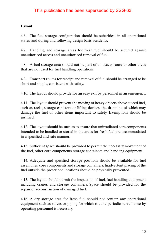#### **Layout**

4.6. The fuel storage configuration should be subcritical in all operational states, and during and following design basis accidents.

4.7. Handling and storage areas for fresh fuel should be secured against unauthorized access and unauthorized removal of fuel.

4.8. A fuel storage area should not be part of an access route to other areas that are not used for fuel handling operations.

4.9. Transport routes for receipt and removal of fuel should be arranged to be short and simple, consistent with safety.

4.10. The layout should provide for an easy exit by personnel in an emergency.

4.11. The layout should prevent the moving of heavy objects above stored fuel, such as racks, storage canisters or lifting devices, the dropping of which may damage the fuel or other items important to safety. Exemptions should be justified.

4.12. The layout should be such as to ensure that unirradiated core components intended to be handled or stored in the areas for fresh fuel are accommodated in a specified and safe manner.

4.13. Sufficient space should be provided to permit the necessary movement of the fuel, other core components, storage containers and handling equipment.

4.14. Adequate and specified storage positions should be available for fuel assemblies, core components and storage containers. Inadvertent placing of the fuel outside the prescribed locations should be physically prevented.

4.15. The layout should permit the inspection of fuel, fuel handling equipment including cranes, and storage containers. Space should be provided for the repair or reconstruction of damaged fuel.

4.16. A dry storage area for fresh fuel should not contain any operational equipment such as valves or piping for which routine periodic surveillance by operating personnel is necessary.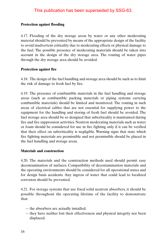#### **Protection against flooding**

4.17. Flooding of the dry storage areas by water or any other moderating material should be prevented by means of the appropriate design of the facility to avoid inadvertent criticality due to moderating effects or physical damage to the fuel. The possible presence of moderating materials should be taken into account in the design of the dry storage area. The routing of water pipes through the dry storage area should be avoided.

#### **Protection against fire**

4.18. The design of the fuel handling and storage area should be such as to limit the risk of damage to fresh fuel by fire.

4.19. The presence of combustible materials in the fuel handling and storage areas (such as combustible packing materials or piping systems carrying combustible materials) should be limited and monitored. The routing in such areas of electrical cables that are not essential for supplying power to the equipment for the handling and storing of fresh fuel should be avoided. The fuel storage area should be so designed that subcriticality is maintained during fire and fire suppression activities. Neutron moderating materials such as water or foam should be considered for use in fire fighting only if it can be verified that their effect on subcriticality is negligible. Warning signs that state which fire fighting materials are permissible and not permissible should be placed in the fuel handling and storage areas.

#### **Materials and construction**

4.20. The materials and the construction methods used should permit easy decontamination of surfaces. Compatibility of decontamination materials and the operating environments should be considered for all operational states and for design basis accidents. Any ingress of water that could lead to localized corrosion should be prevented.

4.21. For storage systems that use fixed solid neutron absorbers, it should be possible throughout the operating lifetime of the facility to demonstrate that:

- the absorbers are actually installed;
- they have neither lost their effectiveness and physical integrity nor been displaced.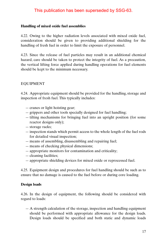#### **Handling of mixed oxide fuel assemblies**

4.22. Owing to the higher radiation levels associated with mixed oxide fuel, consideration should be given to providing additional shielding for the handling of fresh fuel in order to limit the exposure of personnel.

4.23. Since the release of fuel particles may result in an additional chemical hazard, care should be taken to protect the integrity of fuel. As a precaution, the vertical lifting force applied during handling operations for fuel elements should be kept to the minimum necessary.

#### EQUIPMENT

4.24. Appropriate equipment should be provided for the handling, storage and inspection of fresh fuel. This typically includes:

- cranes or light hoisting gear;
- grippers and other tools specially designed for fuel handling;
- tilting mechanisms for bringing fuel into an upright position (for some reactor designs only);
- storage racks;
- inspection stands which permit access to the whole length of the fuel rods for detailed visual inspection;
- means of assembling, disassembling and repairing fuel;
- means of checking physical dimensions;
- appropriate monitors for contamination and criticality;
- cleaning facilities;
- appropriate shielding devices for mixed oxide or reprocessed fuel.

4.25. Equipment design and procedures for fuel handling should be such as to ensure that no damage is caused to the fuel before or during core loading.

#### **Design loads**

4.26. In the design of equipment, the following should be considered with regard to loads:

— A strength calculation of the storage, inspection and handling equipment should be performed with appropriate allowance for the design loads. Design loads should be specified and both static and dynamic loads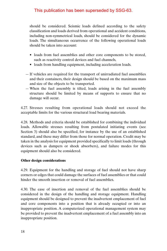should be considered. Seismic loads defined according to the safety classification and loads derived from operational and accident conditions, including non-symmetrical loads, should be considered for the dynamic loads. The simultaneous occurrence of the following operational loads should be taken into account:

- loads from fuel assemblies and other core components to be stored, such as reactivity control devices and fuel channels,
- loads from handling equipment, including acceleration loads.
- If vehicles are required for the transport of unirradiated fuel assemblies and their containers, their design should be based on the maximum mass and size of the objects to be transported.
- When the fuel assembly is tilted, loads arising in the fuel assembly structure should be limited by means of supports to ensure that no damage will occur.

4.27. Stresses resulting from operational loads should not exceed the acceptable limits for the various structural load bearing materials.

4.28. Methods and criteria should be established for combining the individual loads. Allowable stresses resulting from postulated initiating events (see Section 3) should also be specified, for instance by the use of an established standard, and these may differ from those for normal operation. Credit may be taken in the analysis for equipment provided specifically to limit loads (through devices such as dampers or shock absorbers), and failure modes for this equipment should also be considered.

#### **Other design considerations**

4.29. Equipment for the handling and storage of fuel should not have sharp corners or edges that could damage the surfaces of fuel assemblies or that could hinder the smooth insertion or removal of fuel assemblies.

4.30. The ease of insertion and removal of the fuel assemblies should be considered in the design of the handling and storage equipment. Handling equipment should be designed to prevent the inadvertent emplacement of fuel and core components into a position that is already occupied or into an inappropriate position. A computerized operational management system may be provided to prevent the inadvertent emplacement of a fuel assembly into an inappropriate position.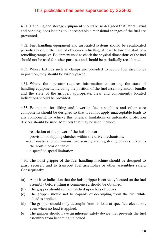4.31. Handling and storage equipment should be so designed that lateral, axial and bending loads leading to unacceptable dimensional changes of the fuel are prevented.

4.32. Fuel handling equipment and associated systems should be recalibrated periodically or, in the case of off-power refuelling, at least before the start of a refuelling campaign. Equipment used to check the physical dimensions of the fuel should not be used for other purposes and should be periodically recalibrated.

4.33. Where fixtures such as clamps are provided to secure fuel assemblies in position, they should be visibly placed.

4.34. Where the operator requires information concerning the state of handling equipment, including the position of the fuel assembly and/or bundle and the state of the gripper, appropriate, clear and conveniently located indications should be provided.

4.35. Equipment for lifting and lowering fuel assemblies and other core components should be designed so that it cannot apply unacceptable loads to any component. To achieve this, physical limitations or automatic protection devices should be used. Methods that may be used include:

- restriction of the power of the hoist motor;
- provision of slipping clutches within the drive mechanisms;
- automatic and continuous load sensing and registering devices linked to the hoist motor or cable;
- a specified speed limitation.

4.36. The hoist gripper of the fuel handling machine should be designed to grasp securely and to transport fuel assemblies or other assemblies safely. Consequently:

- (a) A positive indication that the hoist gripper is correctly located on the fuel assembly before lifting is commenced should be obtained.
- (b) The gripper should remain latched upon loss of power.
- (c) The gripper should not be capable of decoupling from the fuel while a load is applied.
- (d) The gripper should only decouple from its load at specified elevations, even when no load is applied.
- (e) The gripper should have an inherent safety device that prevents the fuel assembly from becoming unlocked.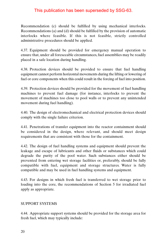Recommendation (c) should be fulfilled by using mechanical interlocks. Recommendations (a) and (d) should be fulfilled by the provision of automatic interlocks where feasible. If this is not feasible, strictly controlled administrative procedures should be applied.

4.37. Equipment should be provided for emergency manual operation to ensure that, under all foreseeable circumstances, fuel assemblies may be readily placed in a safe location during handling.

4.38. Protection devices should be provided to ensure that fuel handling equipment cannot perform horizontal movements during the lifting or lowering of fuel or core components when this could result in the forcing of fuel into position.

4.39. Protection devices should be provided for the movement of fuel handling machines to prevent fuel damage (for instance, interlocks to prevent the movement of machines too close to pool walls or to prevent any unintended movement during fuel handling).

4.40. The design of electromechanical and electrical protection devices should comply with the single failure criterion.

4.41. Penetrations of transfer equipment into the reactor containment should be considered in the design, where relevant, and should meet design requirements that are consistent with those for the containment.

4.42. The design of fuel handling systems and equipment should prevent the leakage and escape of lubricants and other fluids or substances which could degrade the purity of the pool water. Such substances either should be prevented from entering wet storage facilities or, preferably, should be fully compatible with fuel, equipment and storage structures. Water is fully compatible and may be used in fuel handling systems and equipment.

4.43. For designs in which fresh fuel is transferred to wet storage prior to loading into the core, the recommendations of Section 5 for irradiated fuel apply as appropriate.

#### SUPPORT SYSTEMS

4.44. Appropriate support systems should be provided for the storage area for fresh fuel, which may typically include: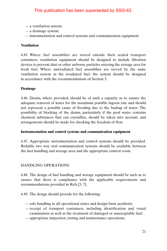- a ventilation system;
- a drainage system;
- instrumentation and control systems and communication equipment.

#### **Ventilation**

4.45. Where fuel assemblies are stored outside their sealed transport containers, ventilation equipment should be designed to include filtration devices to prevent dust or other airborne particles entering the storage area for fresh fuel. Where unirradiated fuel assemblies are served by the same ventilation system as the irradiated fuel, the system should be designed in accordance with the recommendations of Section 5.

#### **Drainage**

4.46. Drains, where provided, should be of such a capacity as to ensure the adequate removal of water for the maximum possible ingress rate and should not represent a possible cause of flooding due to the backup of water. The possibility of blocking of the drains, particularly if the pool water contains chemical substances that can crystallize, should be taken into account, and arrangements should be made for checking the freedom of flow.

#### **Instrumentation and control systems and communication equipment**

4.47. Appropriate instrumentation and control systems should be provided. Reliable two way oral communication systems should be available between the fuel handling and storage area and the appropriate control room.

#### HANDLING OPERATIONS

4.48. The design of fuel handling and storage equipment should be such as to ensure that there is compliance with the applicable requirements and recommendations provided in Refs [3, 7].

4.49. The design should provide for the following:

- safe handling in all operational states and design basis accidents;
- receipt of transport containers, including identification and visual examination as well as the treatment of damaged or unacceptable fuel;
- appropriate inspection, testing and maintenance operations.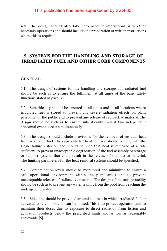4.50. The design should also take into account interactions with other necessary operations and should include the preparation of written instructions where this is required.

## **5. SYSTEMS FOR THE HANDLING AND STORAGE OF IRRADIATED FUEL AND OTHER CORE COMPONENTS**

#### GENERAL

5.1. The design of systems for the handling and storage of irradiated fuel should be such as to ensure the fulfilment at all times of the basic safety functions stated in para. 3.1.

5.2. Subcriticality should be ensured at all times and at all locations where irradiated fuel is stored to prevent any severe radiation effects on plant personnel or the public and to prevent any release of radioactive material. The design should be such as to ensure subcriticality even if two independent abnormal events occur simultaneously.

5.3. The design should include provisions for the removal of residual heat from irradiated fuel. The capability for heat removal should comply with the single failure criterion and should be such that heat is removed at a rate sufficient to prevent unacceptable degradation of the fuel assembly or storage or support systems that could result in the release of radioactive material. The limiting parameters for the heat removal systems should be specified.

5.4. Contamination levels should be monitored and minimized to ensure a safe operational environment within the plant areas and to prevent unacceptable releases of radioactive material. The design of the storage facility should be such as to prevent any water leaking from the pool from reaching the underground water.

5.5. Shielding should be provided around all areas in which irradiated fuel or activated core components can be placed. This is to protect operators and to maintain their doses due to exposure to direct radiation from fission and activation products below the prescribed limits and as low as reasonably achievable [5].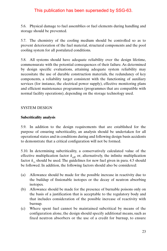5.6. Physical damage to fuel assemblies or fuel elements during handling and storage should be prevented.

5.7. The chemistry of the cooling medium should be controlled so as to prevent deterioration of the fuel material, structural components and the pool cooling system for all postulated conditions.

5.8. All systems should have adequate reliability over the design lifetime, commensurate with the potential consequences of their failure. As determined by design specific evaluations, attaining adequate system reliability may necessitate the use of durable construction materials, the redundancy of key components, a reliability target consistent with the functioning of auxiliary services (for instance, the electrical power supply), effective monitoring plans and efficient maintenance programmes (programmes that are compatible with normal facility operations), depending on the storage technology used.

#### SYSTEM DESIGN

#### **Subcriticality analysis**

5.9. In addition to the design requirements that are established for the purpose of ensuring subcriticality, an analysis should be undertaken for all operational states and in conditions during and following design basis accidents to demonstrate that a critical configuration will not be formed.

5.10. In determining subcriticality, a conservatively calculated value of the effective multiplication factor  $k_{\text{eff}}$  or, alternatively, the infinite multiplication factor  $k_{\infty}$  should be used. The guidelines for new fuel given in para. 4.5 should be followed. In addition, the following factors should also be considered:

- (a) Allowance should be made for the possible increase in reactivity due to the buildup of fissionable isotopes or the decay of neutron absorbing isotopes.
- (b) Allowance should be made for the presence of burnable poisons only on the basis of a justification that is acceptable to the regulatory body and that includes consideration of the possible increase of reactivity with burnup.
- (c) Where spent fuel cannot be maintained subcritical by means of the configuration alone, the design should specify additional means, such as fixed neutron absorbers or the use of a credit for burnup, to ensure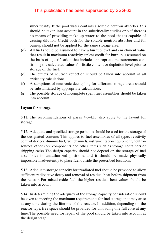subcriticality. If the pool water contains a soluble neutron absorber, this should be taken into account in the subcriticality studies only if there is no means of providing make-up water to the pool that is capable of causing dilution. Credit both for the soluble neutron absorber and for burnup should not be applied for the same storage area.

- (d) All fuel should be assumed to have a burnup level and enrichment value that result in maximum reactivity, unless credit for burnup is assumed on the basis of a justification that includes appropriate measurements confirming the calculated values for fissile content or depletion level prior to storage of the fuel.
- (e) The effects of neutron reflection should be taken into account in all criticality calculations.
- (f) Assumptions of neutronic decoupling for different storage areas should be substantiated by appropriate calculations.
- (g) The possible storage of incomplete spent fuel assemblies should be taken into account.

#### **Layout for storage**

5.11. The recommendations of paras 4.6–4.13 also apply to the layout for storage.

5.12. Adequate and specified storage positions should be used for the storage of the designated contents. This applies to fuel assemblies of all types, reactivity control devices, dummy fuel, fuel channels, instrumentation equipment, neutron sources, other core components and other items such as storage containers or shipping casks. The design capacity should not depend on the storage of fuel assemblies in unauthorized positions, and it should be made physically impossible inadvertently to place fuel outside the prescribed locations.

5.13. Adequate storage capacity for irradiated fuel should be provided to allow sufficient radioactive decay and removal of residual heat before shipment from the reactor. For mixed oxide fuel, the higher residual heat values should be taken into account.

5.14. In determining the adequacy of the storage capacity, consideration should be given to meeting the maximum requirements for fuel storage that may arise at any time during the lifetime of the reactor. In addition, depending on the reactor type, free space should be provided for unloading one full core at any time. The possible need for repair of the pool should be taken into account at the design stage.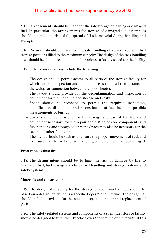5.15. Arrangements should be made for the safe storage of leaking or damaged fuel. In particular, the arrangements for storage of damaged fuel assemblies should minimize the risk of the spread of fissile material during handling and storage.

5.16. Provision should be made for the safe handling of a cask even with fuel storage positions filled to the maximum capacity.The design of the cask handling area should be able to accommodate the various casks envisaged for the facility.

5.17. Other considerations include the following:

- The design should permit access to all parts of the storage facility for which periodic inspection and maintenance is required (for instance, of the welds for connection between the pool sheets).
- The layout should provide for the decontamination and inspection of equipment for fuel handling and storage and casks.
- Space should be provided to permit the required inspection, identification, dismantling and reconstitution of fuel, including possible measurements of burnup.
- Space should be provided for the storage and use of the tools and equipment necessary for the repair and testing of core components and fuel handling and storage equipment. Space may also be necessary for the receipt of other fuel components.
- The layout should be such as to ensure the proper movement of fuel, and to ensure that the fuel and fuel handling equipment will not be damaged.

#### **Protection against fire**

5.18. The design intent should be to limit the risk of damage by fire to irradiated fuel, fuel storage structures, fuel handling and storage systems and safety systems.

#### **Materials and construction**

5.19. The design of a facility for the storage of spent nuclear fuel should be based on a design life, which is a specified operational lifetime. The design life should include provision for the routine inspection, repair and replacement of parts.

5.20. The safety related systems and components of a spent fuel storage facility should be designed to fulfil their function over the lifetime of the facility. If this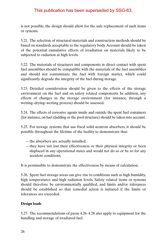is not possible, the design should allow for the safe replacement of such items or systems.

5.21. The selection of structural materials and construction methods should be based on standards acceptable to the regulatory body.Account should be taken of the potential cumulative effects of irradiation on materials likely to be subjected to radiation at high levels.

5.22. The materials of structures and components in direct contact with spent fuel assemblies should be compatible with the materials of the fuel assemblies and should not contaminate the fuel with foreign matter, which could significantly degrade the integrity of the fuel during storage.

5.23. Detailed consideration should be given to the effects of the storage environment on the fuel and on safety related components. In addition, any effects of changes in the storage environment (for instance, through a wetting–drying–wetting process) should be assessed.

5.24. The effects of corrosive agents inside and outside the spent fuel containers (for instance, on fuel cladding or the pool structure) should be taken into account.

5.25. For storage systems that use fixed solid neutron absorbers, it should be possible throughout the lifetime of the facility to demonstrate that:

- the absorbers are actually installed;
- they have not lost their effectiveness or their physical integrity or been displaced in any operational states and would not do so or be so for any accident conditions.

It is permissible to demonstrate the effectiveness by means of calculation.

5.26. Spent fuel storage areas can give rise to conditions such as high humidity, high temperatures and high radiation levels. Safety related items or systems should therefore be environmentally qualified, and limits and/or tolerances should be established so that remedial action is initiated if the limits or tolerances are exceeded.

#### **Design loads**

5.27. The recommendations of paras 4.26–4.28 also apply to equipment for the handling and storage of irradiated fuel.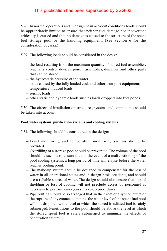5.28. In normal operations and in design basis accident conditions, loads should be appropriately limited to ensure that neither fuel damage nor inadvertent criticality is caused and that no damage is caused to the structure of the spent fuel storage pool or the handling equipment. (See Section 6 for the consideration of casks.)

5.29. The following loads should be considered in the design:

- the load resulting from the maximum quantity of stored fuel assemblies, reactivity control devices, poison assemblies, dummies and other parts that can be stored;
- the hydrostatic pressure of the water;
- loads caused by the fully loaded cask and other transport equipment;
- temperature induced loads;
- seismic loads;
- other static and dynamic loads such as loads dropped into fuel ponds.

5.30. The effects of irradiation on structures, systems and components should be taken into account.

#### **Pool water systems, purification systems and cooling systems**

5.31. The following should be considered in the design:

- Level monitoring and temperature monitoring systems should be provided.
- Overfilling of a storage pool should be prevented.The volume of the pool should be such as to ensure that, in the event of a malfunctioning of the pool cooling systems, a long period of time will elapse before the water reaches boiling point.
- The make-up system should be designed to compensate for the loss of water in all operational states and in design basis accidents, and should use a reliable source of water. The design should also ensure that loss of shielding or loss of cooling will not preclude access by personnel as necessary to perform emergency make-up procedures.
- Pipe routing should be so arranged that, in the event of a syphon effect or the rupture of any connected piping, the water level of the spent fuel pool will not drop below the level at which the stored irradiated fuel is safely submerged. Penetrations to the pool should be above the level at which the stored spent fuel is safely submerged to minimize the effects of penetration failure.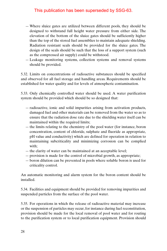- Where sluice gates are utilized between different pools, they should be designed to withstand full height water pressure from either side. The elevation of the bottom of the sluice gates should be sufficiently higher than the top of the stored fuel assemblies to maintain adequate shielding. Radiation resistant seals should be provided for the sluice gates. The design of the seals should be such that the loss of a support system (such as the compressed air supply) could be withstood.
- Leakage monitoring systems, collection systems and removal systems should be provided.

5.32. Limits on concentrations of radioactive substances should be specified and observed for all fuel storage and handling areas. Requirements should be established for water quality and for levels of atmospheric contamination.

5.33. Only chemically controlled water should be used. A water purification system should be provided which should be so designed that:

- radioactive, ionic and solid impurities arising from activation products, damaged fuel and other materials can be removed from the water so as to ensure that the radiation dose rate due to the shielding water itself can be maintained within the required limits;
- the limits relating to the chemistry of the pool water (for instance, boron concentration, content of chloride, sulphate and fluoride as appropriate, pH value and conductivity) which are defined for operation in relation to maintaining subcriticality and minimizing corrosion can be complied with;
- the clarity of water can be maintained at an acceptable level;
- provision is made for the control of microbial growth, as appropriate;
- boron dilution can be prevented in pools where soluble boron is used for criticality control.

An automatic monitoring and alarm system for the boron content should be installed.

5.34. Facilities and equipment should be provided for removing impurities and suspended particles from the surface of the pool water.

5.35. For operations in which the release of radioactive material may increase or the suspension of particles may occur, for instance during fuel reconstitution, provision should be made for the local removal of pool water and for routing to the purification system or to local purification equipment. Provision should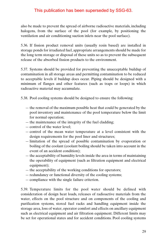also be made to prevent the spread of airborne radioactive materials, including halogens, from the surface of the pool (for example, by positioning the ventilation and air conditioning suction inlets near the pool surface).

5.36. If fission product removal units (usually resin based) are installed in storage ponds for irradiated fuel, appropriate arrangements should be made for the long term storage or disposal of these units so as to prevent the subsequent release of the absorbed fission products to the environment.

5.37. Systems should be provided for preventing the unacceptable buildup of contamination in all storage areas and permitting contamination to be reduced to acceptable levels if buildup does occur. Piping should be designed with a minimum of flanges and other features (such as traps or loops) in which radioactive material may accumulate.

5.38. Pool cooling systems should be designed to ensure the following:

- the removal of the maximum possible heat that could be generated by the pool inventory and maintenance of the pool temperature below the limit for normal operation;
- the maintenance of the integrity of the fuel cladding;
- control of the water level;
- control of the mean water temperature at a level consistent with the design requirements for the pool liner and structures;
- limitation of the spread of possible contamination by evaporation or boiling of the coolant (coolant boiling should be taken into account in the event of an accident condition);
- the acceptability of humidity levels inside the area in terms of maintaining the operability of equipment (such as filtration equipment and electrical equipment);
- the acceptability of the working conditions for operators;
- redundancy or functional diversity of the cooling systems;
- compliance with the single failure criterion.

5.39. Temperature limits for the pool water should be defined with consideration of design heat loads, releases of radioactive materials from the water, effects on the pool structure and on components of the cooling and purification systems, stored fuel racks and handling equipment inside the storage area, loss of water, operator comfort and effects on ancillary equipment such as electrical equipment and air filtration equipment. Different limits may be set for operational states and for accident conditions. Pool cooling systems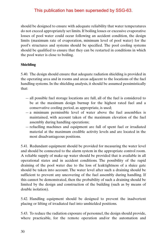should be designed to ensure with adequate reliability that water temperatures do not exceed appropriately set limits. If boiling losses or excessive evaporative losses of pool water could occur following an accident condition, the design limits (maximum rate of evaporation, minimum level of pool water) for the pool's structures and systems should be specified. The pool cooling systems should be qualified to ensure that they can be restarted in conditions in which the pool water is close to boiling.

#### **Shielding**

5.40. The design should ensure that adequate radiation shielding is provided in the operating area and in rooms and areas adjacent to the locations of the fuel handling systems. In the shielding analysis, it should be assumed pessimistically that:

- all possible fuel storage locations are full, all of the fuel is considered to be at the maximum design burnup for the highest rated fuel and a conservative cooling period, as appropriate, is used;
- a minimum permissible level of water above the fuel assemblies is maintained, with account taken of the maximum elevation of the fuel assembly during handling operations;
- refuelling machines and equipment are full of spent fuel or irradiated material at the maximum credible activity levels and are located in the most disadvantageous positions.

5.41. Redundant equipment should be provided for measuring the water level and should be connected to the alarm system in the appropriate control room. A reliable supply of make-up water should be provided that is available in all operational states and in accident conditions. The possibility of the rapid draining of the pool water due to the loss of leaktightness of a sluice gate should be taken into account. The water level after such a draining should be sufficient to prevent any uncovering of the fuel assembly during handling. If this cannot be demonstrated, then the probability of such a draining should be limited by the design and construction of the building (such as by means of double isolation).

5.42. Handling equipment should be designed to prevent the inadvertent placing or lifting of irradiated fuel into unshielded positions.

5.43. To reduce the radiation exposure of personnel, the design should provide, where practicable, for the remote operation and/or the automation and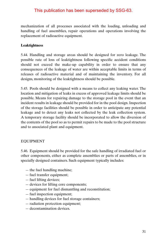mechanization of all processes associated with the loading, unloading and handling of fuel assemblies, repair operations and operations involving the replacement of radioactive equipment.

#### **Leaktightness**

5.44. Handling and storage areas should be designed for zero leakage. The possible rate of loss of leaktightness following specific accident conditions should not exceed the make-up capability in order to ensure that any consequences of the leakage of water are within acceptable limits in terms of releases of radioactive material and of maintaining the inventory. For all designs, monitoring of the leaktightness should be possible.

5.45. Pools should be designed with a means to collect any leaking water. The location and mitigation of leaks in excess of approved leakage limits should be possible. Means for repairing damage to the storage pool in the event that an incident results in leakage should be provided for in the pool design. Inspection of the storage facilities should be possible in order to anticipate any potential leakage and to detect any leaks not collected by the leak collection system. A temporary storage facility should be incorporated to allow the diversion of the contents of the pool so as to permit repairs to be made to the pool structure and to associated plant and equipment.

#### EQUIPMENT

5.46. Equipment should be provided for the safe handling of irradiated fuel or other components, either as complete assemblies or parts of assemblies, or in specially designed containers. Such equipment typically includes:

- the fuel handling machine;
- fuel transfer equipment;
- fuel lifting devices;
- devices for lifting core components;
- equipment for fuel dismantling and reconstitution;
- fuel inspection equipment;
- handling devices for fuel storage containers;
- radiation protection equipment;
- decontamination devices.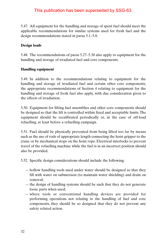5.47. All equipment for the handling and storage of spent fuel should meet the applicable recommendations for similar systems used for fresh fuel and the design recommendations stated in paras 5.1–5.8.

#### **Design loads**

5.48. The recommendations of paras 5.27–5.30 also apply to equipment for the handling and storage of irradiated fuel and core components.

#### **Handling equipment**

5.49. In addition to the recommendations relating to equipment for the handling and storage of irradiated fuel and certain other core components, the appropriate recommendations of Section 4 relating to equipment for the handling and storage of fresh fuel also apply, with due consideration given to the effects of irradiation.

5.50. Equipment for lifting fuel assemblies and other core components should be designed so that the lift is controlled within fixed and acceptable limits. The equipment should be recalibrated periodically or, in the case of off-load refuelling, at least before a refuelling campaign.

5.51. Fuel should be physically prevented from being lifted too far by means such as the use of rods of appropriate length connecting the hoist gripper to the crane or by mechanical stops on the hoist rope. Electrical interlocks to prevent travel of the refuelling machine while the fuel is in an incorrect position should also be provided.

5.52. Specific design considerations should include the following:

- hollow handling tools used under water should be designed so that they fill with water on submersion (to maintain water shielding) and drain on removal;
- the design of handling systems should be such that they do not generate loose parts when used;
- where tools or conventional handling devices are provided for performing operations not relating to the handling of fuel and core components, they should be so designed that they do not prevent any safety related action.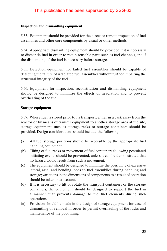#### **Inspection and dismantling equipment**

5.53. Equipment should be provided for the direct or remote inspection of fuel assemblies and other core components by visual or other methods.

5.54. Appropriate dismantling equipment should be provided it it is necessary to dismantle fuel in order to retain reusable parts such as fuel channels, and if the dismantling of the fuel is necessary before storage.

5.55. Detection equipment for failed fuel assemblies should be capable of detecting the failure of irradiated fuel assemblies without further impairing the structural integrity of the fuel.

5.56. Equipment for inspection, reconstitution and dismantling equipment should be designed to minimize the effects of irradiation and to prevent overheating of the fuel.

#### **Storage equipment**

5.57. Where fuel is stored prior to its transport, either in a cask away from the reactor or by means of transfer equipment to another storage area at the site, storage equipment such as storage racks or storage containers should be provided. Design considerations should include the following:

- (a) All fuel storage positions should be accessible by the appropriate fuel handling equipment.
- (b) Tilting of fuel racks or movement of fuel containers following postulated initiating events should be prevented, unless it can be demonstrated that no hazard would result from such a movement.
- (c) The equipment should be designed to minimize the possibility of excessive lateral, axial and bending loads to fuel assemblies during handling and storage; variations in the dimensions of components as a result of operation should be taken into account.
- (d) If it is necessary to tilt or rotate the transport containers or the storage containers, the equipment should be designed to support the fuel in a manner that prevents damage to the fuel elements during such operations.
- (e) Provision should be made in the design of storage equipment for ease of dismantling or removal in order to permit overhauling of the racks and maintenance of the pool lining.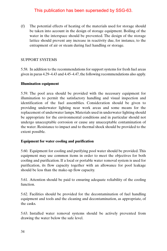(f) The potential effects of heating of the materials used for storage should be taken into account in the design of storage equipment. Boiling of the water in the interspace should be prevented. The design of the storage lattice should prevent any increase in reactivity due, for instance, to the entrapment of air or steam during fuel handling or storage.

#### SUPPORT SYSTEMS

5.58. In addition to the recommendations for support systems for fresh fuel areas given in paras 4.29–4.43 and 4.45–4.47, the following recommendations also apply.

#### **Illumination equipment**

5.59. The pool area should be provided with the necessary equipment for illumination to permit the satisfactory handling and visual inspection and identification of the fuel assemblies. Consideration should be given to providing underwater lighting near work areas and some means for the replacement of underwater lamps. Materials used in underwater lighting should be appropriate for the environmental conditions and in particular should not undergo unacceptable corrosion or cause any unacceptable contamination of the water. Resistance to impact and to thermal shock should be provided to the extent possible.

#### **Equipment for water cooling and purification**

5.60. Equipment for cooling and purifying pool water should be provided. This equipment may use common items in order to meet the objectives for both cooling and purification. If a local or portable water removal system is used for purification, its flow capacity together with an allowance for pool leakage should be less than the make-up flow capacity.

5.61. Attention should be paid to ensuring adequate reliability of the cooling function.

5.62. Facilities should be provided for the decontamination of fuel handling equipment and tools and the cleaning and decontamination, as appropriate, of the casks.

5.63. Installed water removal systems should be actively prevented from drawing the water below the safe level.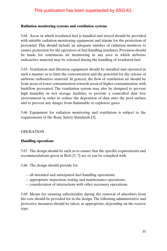#### **Radiation monitoring systems and ventilation systems**

5.64. Areas in which irradiated fuel is handled and stored should be provided with suitable radiation monitoring equipment and alarms for the protection of personnel. This should include an adequate number of radiation monitors to ensure protection for the operators of fuel handling machines. Provision should be made for continuous air monitoring in any area in which airborne radioactive material may be released during the handling of irradiated fuel.

5.65. Ventilation and filtration equipment should be installed and operated in such a manner as to limit the concentration and the potential for the release of airborne radioactive material. In general, the flow of ventilation air should be from areas of lower contamination towards areas of higher contamination, with backflow prevented. The ventilation system may also be designed to prevent high humidity in wet storage facilities, to provide a controlled dust free environment in order to reduce the deposition of dust onto the pool surface and to prevent any danger from flammable or explosive gases.

5.66. Equipment for radiation monitoring and ventilation is subject to the requirements of the Basic Safety Standards [5].

#### OPERATION

#### **Handling operations**

5.67. The design should be such as to ensure that the specific requirements and recommendations given in Refs [3, 7] are or can be complied with.

5.68. The design should provide for:

- all intended and anticipated fuel handling operations;
- appropriate inspection, testing and maintenance operations;
- consideration of interactions with other necessary operations.

5.69. Means for ensuring subcriticality during the removal of absorbers from the core should be provided for in the design. The following administrative and protective measures should be taken, as appropriate, depending on the reactor type: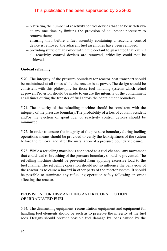- restricting the number of reactivity control devices that can be withdrawn at any one time by limiting the provision of equipment necessary to remove them;
- ensuring that, before a fuel assembly containing a reactivity control device is removed, the adjacent fuel assemblies have been removed;
- providing sufficient absorber within the coolant to guarantee that, even if all reactivity control devices are removed, criticality could not be achieved.

#### **On-load refuelling**

5.70. The integrity of the pressure boundary for reactor heat transport should be maintained at all times while the reactor is at power. The design should be consistent with this philosophy for those fuel handling systems which refuel at power. Provision should be made to ensure the integrity of the containment at all times during the transfer of fuel across the containment boundary.

5.71. The integrity of the refuelling machine should be consistent with the integrity of the pressure boundary. The probability of a loss of coolant accident and/or the ejection of spent fuel or reactivity control devices should be minimized.

5.72. In order to ensure the integrity of the pressure boundary during fuelling operations, means should be provided to verify the leaktightness of the system before the removal and after the installation of a pressure boundary closure.

5.73. While a refuelling machine is connected to a fuel channel, any movement that could lead to breaching of the pressure boundary should be prevented.The refuelling machine should be prevented from applying excessive load to the fuel channel. The refuelling operation should not so influence the behaviour of the reactor as to cause a hazard in other parts of the reactor system. It should be possible to terminate any refuelling operation safely following an event affecting the reactor.

#### PROVISION FOR DISMANTLING AND RECONSTITUTION OF IRRADIATED FUEL

5.74. The dismantling equipment, reconstitution equipment and equipment for handling fuel elements should be such as to preserve the integrity of the fuel rods. Designs should prevent possible fuel damage by loads caused by the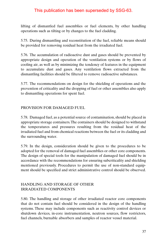lifting of dismantled fuel assemblies or fuel elements, by other handling operations such as tilting or by changes to the fuel cladding.

5.75. During dismantling and reconstitution of the fuel, reliable means should be provided for removing residual heat from the irradiated fuel.

5.76. The accumulation of radioactive dust and gases should be prevented by appropriate design and operation of the ventilation systems or by flows of cooling air, as well as by minimizing the tendency of features in the equipment to accumulate dust and gases. Any ventilation flows extracted from the dismantling facilities should be filtered to remove radioactive substances.

5.77. The recommendations on design for the shielding of operations and the prevention of criticality and the dropping of fuel or other assemblies also apply to dismantling operations for spent fuel.

#### PROVISION FOR DAMAGED FUEL

5.78. Damaged fuel, as a potential source of contamination, should be placed in appropriate storage containers.The containers should be designed to withstand the temperatures and pressures resulting from the residual heat of the irradiated fuel and from chemical reactions between the fuel or its cladding and the surrounding water.

5.79. In the design, consideration should be given to the procedures to be adopted for the removal of damaged fuel assemblies or other core components. The design of special tools for the manipulation of damaged fuel should be in accordance with the recommendations for ensuring subcriticality and shielding mentioned previously. Procedures to permit the use of non-standard equipment should be specified and strict administrative control should be observed.

#### HANDLING AND STORAGE OF OTHER IRRADIATED COMPONENTS

5.80. The handling and storage of other irradiated reactor core components that do not contain fuel should be considered in the design of the handling systems. These may include components such as reactivity control devices or shutdown devices, in-core instrumentation, neutron sources, flow restrictors, fuel channels, burnable absorbers and samples of reactor vessel material.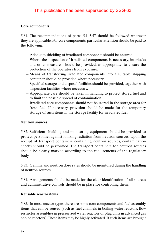#### **Core components**

5.81. The recommendations of paras 5.1–5.57 should be followed wherever they are applicable. For core components, particular attention should be paid to the following:

- Adequate shielding of irradiated components should be ensured.
- Where the inspection of irradiated components is necessary, interlocks and other measures should be provided, as appropriate, to ensure the protection of the operators from exposure.
- Means of transferring irradiated components into a suitable shipping container should be provided where necessary.
- Specified storage and disposal facilities should be provided, together with inspection facilities where necessary.
- Appropriate care should be taken in handling to protect stored fuel and to limit the possible spread of contamination.
- Irradiated core components should not be stored in the storage area for fresh fuel. If necessary, provision should be made for the temporary storage of such items in the storage facility for irradiated fuel.

#### **Neutron sources**

5.82. Sufficient shielding and monitoring equipment should be provided to protect personnel against ionizing radiation from neutron sources. Upon the receipt of transport containers containing neutron sources, contamination checks should be performed. The transport containers for neutron sources should be clearly marked according to the requirements of the regulatory body.

5.83. Gamma and neutron dose rates should be monitored during the handling of neutron sources.

5.84. Arrangements should be made for the clear identification of all sources and administrative controls should be in place for controlling them.

#### **Reusable reactor items**

5.85. In most reactor types there are some core components and fuel assembly items that can be reused (such as fuel channels in boiling water reactors, flow restrictor assemblies in pressurized water reactors or plug units in advanced gas cooled reactors).These items may be highly activated. If such items are brought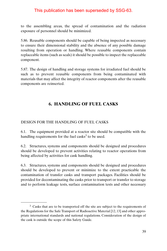to the assembling areas, the spread of contamination and the radiation exposure of personnel should be minimized.

5.86. Reusable components should be capable of being inspected as necessary to ensure their dimensional stability and the absence of any possible damage resulting from operation or handling. Where reusable components contain replaceable items (such as seals) it should be possible to inspect the replaceable component.

5.87. The design of handling and storage systems for irradiated fuel should be such as to prevent reusable components from being contaminated with materials that may affect the integrity of reactor components after the reusable components are reinserted.

## **6. HANDLING OF FUEL CASKS**

#### DESIGN FOR THE HANDLING OF FUEL CASKS

6.1. The equipment provided at a reactor site should be compatible with the handling requirements for the fuel casks<sup>3</sup> to be used.

6.2. Structures, systems and components should be designed and procedures should be developed to prevent activities relating to reactor operations from being affected by activities for cask handling.

6.3. Structures, systems and components should be designed and procedures should be developed to prevent or minimize to the extent practicable the contamination of transfer casks and transport packages. Facilities should be provided for decontaminating the casks prior to transport or transfer to storage and to perform leakage tests, surface contamination tests and other necessary

<sup>&</sup>lt;sup>3</sup> Casks that are to be transported off the site are subject to the requirements of the Regulations for the Safe Transport of Radioactive Material [12, 13] and other appropriate international standards and national regulations. Consideration of the design of the cask is outside the scope of this Safety Guide.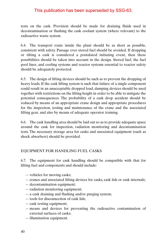tests on the cask. Provision should be made for draining fluids used in decontamination or flushing the cask coolant system (where relevant) to the radioactive waste system.

6.4. The transport route inside the plant should be as short as possible, consistent with safety. Passage over stored fuel should be avoided. If dropping or tilting a cask is considered a postulated initiating event, then these possibilities should be taken into account in the design. Stored fuel, the fuel pool liner, and cooling systems and reactor systems essential to reactor safety should be adequately protected.

6.5. The design of lifting devices should be such as to prevent the dropping of heavy loads. If the cask lifting system is such that failure of a single component could result in an unacceptable dropped load, damping devices should be used together with restrictions on the lifting height in order to be able to mitigate the potential consequences. The probability of a cask drop accident should be reduced by means of an appropriate crane design and appropriate procedures for the inspection, testing and maintenance of the crane and the associated lifting gear, and also by means of adequate operator training.

6.6. The cask handling area should be laid out so as to provide adequate space around the cask for inspection, radiation monitoring and decontamination tests. The necessary storage area for casks and associated equipment (such as shock absorbers) should be provided.

#### EQUIPMENT FOR HANDLING FUEL CASKS

6.7. The equipment for cask handling should be compatible with that for lifting fuel and components and should include:

- vehicles for moving casks;
- cranes and associated lifting devices for casks, cask lids or cask internals;
- decontamination equipment;
- radiation monitoring equipment;
- a cask draining and flushing and/or purging system;
- tools for disconnection of cask lids;
- cask testing equipment;
- means and devices for preventing the radioactive contamination of external surfaces of casks;
- illumination equipment.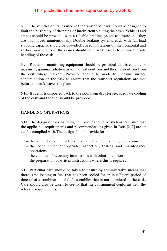6.8. The vehicles or cranes used in the transfer of casks should be designed to limit the possibility of dropping or inadvertently tilting the casks. Vehicles and cranes should be provided with a reliable braking system to ensure that they are not moved unintentionally. Double braking systems, each with full-load stopping capacity, should be provided. Speed limitations on the horizontal and vertical movements of the cranes should be provided so as to ensure the safe handling of the cask.

6.9. Radiation monitoring equipment should be provided that is capable of measuring gamma radiation as well as fast neutrons and thermal neutrons from the cask where relevant. Provision should be made to measure surface contamination on the cask to ensure that the transport regulations are met before the cask leaves the plant.

6.10. If fuel is transported back to the pool from dry storage, adequate cooling of the cask and the fuel should be provided.

#### HANDLING OPERATIONS

6.11. The design of cask handling equipment should be such as to ensure that the applicable requirements and recommendations given in Refs [2, 7] are or can be complied with. The design should provide for:

- the conduct of all intended and anticipated fuel handling operations;
- the conduct of appropriate inspection, testing and maintenance operations;
- the conduct of necessary interactions with other operations;
- the preparation of written instructions where this is required.

6.12. Particular care should be taken to ensure by administrative means that there is no loading of fuel that has been cooled for an insufficient period of time or of a combination of fuel assemblies that is not permitted in the cask. Care should also be taken to certify that the consignment conforms with the relevant requirements.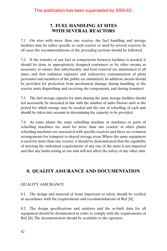## **7. FUEL HANDLING AT SITES WITH SEVERAL REACTORS**

7.1. On sites with more than one reactor, the fuel handling and storage facilities may be either specific to each reactor or used by several reactors. In all cases the recommendations of the preceding sections should be followed.

7.2. If the transfer of any fuel or components between facilities is needed, it should be done in appropriately designed containers or by other means, as necessary, to ensure that subcriticality and heat removal are maintained at all times and that radiation exposure and radioactive contamination of plant personnel and members of the public are minimized. In addition, means should be provided for protection from mechanical damage during handling, at the reactor units dispatching and receiving the components, and during transport.

7.3. The fuel storage capacity for units sharing the same storage facilities should not necessarily be increased in line with the number of units. Factors such as the period for which storage may be needed and the rate of refuelling of each unit should be taken into account in determining the capacity to be provided.

7.4. At some plants the same refuelling machine or machines or parts of refuelling machines are used for more than one reactor; at other plants refuelling machines are associated with specific reactors and there are common arrangements for transport to shared storage areas.Where the same equipment is used for more than one reactor, it should be demonstrated that the capability of meeting the individual requirements of any one of the units is not impaired and that any faults arising at one unit will not affect the safety of any other unit.

## **8. QUALITY ASSURANCE AND DOCUMENTATION**

### QUALITY ASSURANCE

8.1. The design and material of items important to safety should be verified in accordance with the requirements and recommendations of Ref. [6].

8.2. The design specifications and analyses and the as-built data for all equipment should be documented in order to comply with the requirements of Ref. [6]. The documentation should be available to the operator.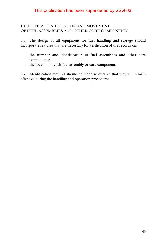#### IDENTIFICATION, LOCATION AND MOVEMENT OF FUEL ASSEMBLIES AND OTHER CORE COMPONENTS

8.3. The design of all equipment for fuel handling and storage should incorporate features that are necessary for verification of the records on:

- the number and identification of fuel assemblies and other core components;
- the location of each fuel assembly or core component.

8.4. Identification features should be made so durable that they will remain effective during the handling and operation procedures.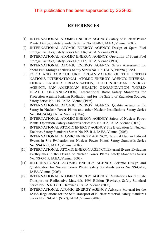## **REFERENCES**

- [1] INTERNATIONAL ATOMIC ENERGY AGENCY, Safety of Nuclear Power Plants: Design, Safety Standards Series No. NS-R-1, IAEA, Vienna (2000).
- [2] INTERNATIONAL ATOMIC ENERGY AGENCY, Design of Spent Fuel Storage Facilities, Safety Series No. 116, IAEA, Vienna (1994).
- [3] INTERNATIONAL ATOMIC ENERGY AGENCY, Operation of Spent Fuel Storage Facilities, Safety Series No. 117, IAEA, Vienna (1994).
- [4] INTERNATIONAL ATOMIC ENERGY AGENCY, Safety Assessment for Spent Fuel Storage Facilities, Safety Series No. 118, IAEA, Vienna (1995).
- [5] FOOD AND AGRICULTURE ORGANIZATION OF THE UNITED NATIONS, INTERNATIONAL ATOMIC ENERGY AGENCY, INTERNA-TIONAL LABOUR ORGANISATION, OECD NUCLEAR ENERGY AGENCY, PAN AMERICAN HEALTH ORGANIZATION, WORLD HEALTH ORGANIZATION, International Basic Safety Standards for Protection Against Ionizing Radiation and for the Safety of Radiation Sources, Safety Series No. 115, IAEA, Vienna (1996).
- [6] INTERNATIONAL ATOMIC ENERGY AGENCY, Quality Assurance for Safety in Nuclear Power Plants and other Nuclear Installations, Safety Series No. 50-C/SG-Q, IAEA, Vienna (1996).
- [7] INTERNATIONAL ATOMIC ENERGY AGENCY, Safety of Nuclear Power Plants: Operation, Safety Standards Series No. NS-R-2, IAEA, Vienna (2000).
- [8] INTERNATIONAL ATOMIC ENERGY AGENCY, Site Evaluation for Nuclear Facilities, Safety Standards Series No. NS-R-3, IAEA, Vienna (2003).
- [9] INTERNATIONAL ATOMIC ENERGY AGENCY, External Human Induced Events in Site Evaluation for Nuclear Power Plants, Safety Standards Series No. NS-G-3.1, IAEA, Vienna (2002).
- [10] INTERNATIONAL ATOMIC ENERGY AGENCY, External Events Excluding Earthquakes in the Design of Nuclear Power Plants, Safety Standards Series No. NS-G-1.5, IAEA, Vienna (2003).
- [11] INTERNATIONAL ATOMIC ENERGY AGENCY, Seismic Design and Qualification for Nuclear Power Plants, Safety Standards Series No. NS-G-1.6, IAEA, Vienna (2003).
- [12] INTERNATIONAL ATOMIC ENERGY AGENCY, Regulations for the Safe Transport of Radioactive Materials, 1996 Edition (Revised), Safety Standard Series No. TS-R-1 (ST-1 Revised), IAEA, Vienna (2000).
- [13} INTERNATIONAL ATOMIC ENERGY AGENCY, Advisory Material for the IAEA Regulations for the Safe Transport of Nuclear Material, Safety Standards Series No. TS-G-1.1 (ST-2), IAEA, Vienna (2002).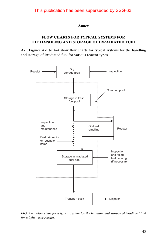#### **Annex**

#### **FLOW CHARTS FOR TYPICAL SYSTEMS FOR THE HANDLING AND STORAGE OF IRRADIATED FUEL**

A-1. Figures A-1 to A-4 show flow charts for typical systems for the handling and storage of irradiated fuel for various reactor types.



*FIG. A-1. Flow chart for a typical system for the handling and storage of irradiated fuel for a light water reactor.*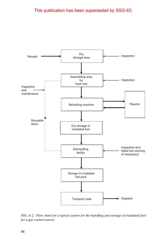

*FIG. A-2. Flow chart for a typical system for the handling and storage of irradiated fuel for a gas cooled reactor.*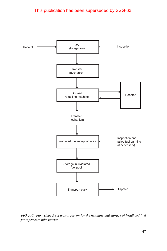

*FIG. A-3. Flow chart for a typical system for the handling and storage of irradiated fuel for a pressure tube reactor.*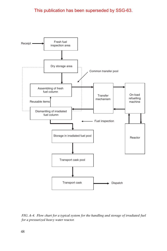

*FIG. A-4. Flow chart for a typical system for the handling and storage of irradiated fuel for a pressurized heavy water reactor.*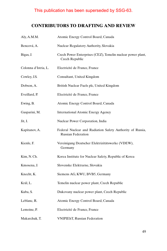## **CONTRIBUTORS TO DRAFTING AND REVIEW**

| Aly, A.M.M.          | Atomic Energy Control Board, Canada                                                    |
|----------------------|----------------------------------------------------------------------------------------|
| Bencová, A.          | Nuclear Regulatory Authority, Slovakia                                                 |
| Bigas, J.            | Czech Power Enterprises (CEZ), Temelin nuclear power plant,<br>Czech Republic          |
| Colonna d'Istria, L. | Electricité de France, France                                                          |
| Cowley, J.S.         | Consultant, United Kingdom                                                             |
| Dobson, A.           | British Nuclear Fuels plc, United Kingdom                                              |
| Eveillard, P.        | Electricité de France, France                                                          |
| Ewing, B.            | Atomic Energy Control Board, Canada                                                    |
| Gasparini, M.        | <b>International Atomic Energy Agency</b>                                              |
| Jit, I.              | Nuclear Power Corporation, India                                                       |
| Kapitanov, A.        | Federal Nuclear and Radiation Safety Authority of Russia,<br><b>Russian Federation</b> |
| Kienle, F.           | Vereinigung Deutscher Elektrizitätswerke (VDEW),<br>Germany                            |
| Kim, N. Ch.          | Korea Institute for Nuclear Safety, Republic of Korea                                  |
| Kmosena, J.          | Slovenske Elektrarne, Slovakia                                                         |
| Knecht, K.           | Siemens AG, KWU, BVB5, Germany                                                         |
| Král, L.             | Temelin nuclear power plant, Czech Republic                                            |
| Kuba, S.             | Dukovany nuclear power plant, Czech Republic                                           |
| Leblanc, R.          | Atomic Energy Control Board, Canada                                                    |
| Lemoine, P.          | Electricité de France, France                                                          |
| Makarchuk, T.        | <b>VNIPIEhT, Russian Federation</b>                                                    |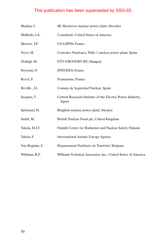| Markus, J.      | SE Mochovce nuclear power plant, Slovakia                           |
|-----------------|---------------------------------------------------------------------|
| McBride, J.A.   | Consultant, United States of America                                |
| Mercier, J.P.   | CEA/IPSN, France                                                    |
| Novo, M.        | Centrales Nucleares, Trillo 1 nuclear power plant, Spain            |
| Ördögh, M.      | ETV-EROTERV-RT, Hungary                                             |
| Peyrouty, P.    | IPSN/DES, France                                                    |
| Revel, P.       | Framatome, France                                                   |
| Revilla, J.L.   | Consejo de Seguridad Nuclear, Spain                                 |
| Saegusa, T.     | Central Research Institute of the Electric Power Industry,<br>Japan |
| Sjöstrand, H.   | Ringhals nuclear power plant, Sweden                                |
| Smith, M.       | British Nuclear Fuels plc, United Kingdom                           |
| Takala, H.J.T.  | Finnish Centre for Radiation and Nuclear Safety, Finland            |
| Takáts, F.      | <b>International Atomic Energy Agency</b>                           |
| Van Beginne, F. | Departement Nucléaire de Tractebel, Belgium                         |
| Williams, R.F.  | Williams Technical Associates, Inc., United States of America       |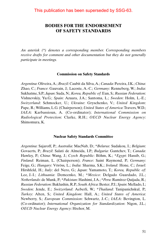### **BODIES FOR THE ENDORSEMENT OF SAFETY STANDARDS**

*An asterisk (\*) denotes a corresponding member. Corresponding members receive drafts for comment and other documentation but they do not generally participate in meetings.*

#### **Commission on Safety Standards**

*Argentina*: Oliveira, A.; *Brazil*: Caubit da Silva, A.; *Canada*: Pereira, J.K.; *China*: Zhao, C.; *France*: Gauvain, J.; Lacoste, A.-C.; *Germany*: Renneberg, W.; *India*: Sukhatme, S.P.; *Japan*: Suda, N.; *Korea, Republic of*: Eun, S.; *Russian Federation*: Vishnevskiy, Yu.G.; *Spain*: Azuara, J.A.; Santoma, L.; *Sweden*: Holm, L.-E.; *Switzerland*: Schmocker, U.; *Ukraine*: Gryschenko, V.; *United Kingdom*: Pape, R.; Williams, L.G. (Chairperson); *United States of America*: Travers, W.D.; *IAEA*: Karbassioun, A. (Co-ordinator); *International Commission on Radiological Protection*: Clarke, R.H.; *OECD Nuclear Energy Agency*: Shimomura, K.

#### **Nuclear Safety Standards Committee**

*Argentina*: Sajaroff, P.; *Australia*: MacNab, D.; \**Belarus*: Sudakou, I.; *Belgium*: Govaerts, P.; *Brazil*: Salati de Almeida, I.P.; *Bulgaria*: Gantchev, T.; *Canada*: Hawley, P.; *China*: Wang, J.; *Czech Republic*: Böhm, K.; \**Egypt*: Hassib, G.; *Finland*: Reiman, L. (Chairperson); *France*: Saint Raymond, P.; *Germany*: Feige, G.; *Hungary*: Vöröss, L.; *India*: Sharma, S.K.; *Ireland*: Hone, C.; *Israel*: Hirshfeld, H.; *Italy*: del Nero, G.; *Japan*: Yamamoto, T.; *Korea, Republic of*: Lee, J.-I.; *Lithuania*: Demcenko, M.; \**Mexico*: Delgado Guardado, J.L.; *Netherlands*: de Munk, P.; \**Pakistan*: Hashimi, J.A.; \**Peru*: Ramírez Quijada, R.; *Russian Federation*: Baklushin, R.P.;*South Africa*: Bester, P.J.;*Spain*: Mellado, I.; *Sweden*: Jende, E.; *Switzerland*: Aeberli, W.; \**Thailand*: Tanipanichskul, P.; *Turkey*: Alten, S.; *United Kingdom*: Hall, A.; *United States of America*: Newberry, S.; *European Commission*: Schwartz, J.-C.; *IAEA*: Bevington, L. (Co-ordinator); *International Organization for Standardization*: Nigon, J.L.; *OECD Nuclear Energy Agency*: Hrehor, M.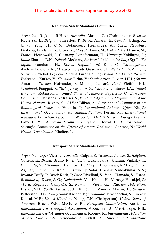#### **Radiation Safety Standards Committee**

*Argentina*: Rojkind, R.H.A.; *Australia*: Mason, C. (Chairperson); *Belarus*: Rydlevski, L.; *Belgium*: Smeesters, P.; *Brazil*: Amaral, E.; *Canada*: Utting, R.; *China*: Yang, H.; *Cuba*: Betancourt Hernandez, A.; *Czech Republic*: Drabova, D.; *Denmark*: Ulbak, K.; \**Egypt*: Hanna, M.; *Finland*: Markkanen, M.; *France*: Piechowski, J.; *Germany*: Landfermann, H.; *Hungary*: Koblinger, L.; *India*: Sharma, D.N.; *Ireland*: McGarry, A.; *Israel*: Laichter, Y.; *Italy*: Sgrilli, E.; *Japan*: Yonehara, H.; *Korea, Republic of*: Kim, C.; \**Madagascar*: Andriambololona, R.; \**Mexico*: Delgado Guardado, J.L.; *Netherlands*: Zuur, C.; *Norway*: Saxebol, G.; *Peru*: Medina Gironzini, E.; *Poland*: Merta, A.; *Russian Federation*: Kutkov, V.; *Slovakia*: Jurina, V.; *South Africa*: Olivier, J.H.L.; *Spain*: Amor, I.; *Sweden*: Hofvander, P.; Moberg, L.; *Switzerland*: Pfeiffer, H.J.; \**Thailand*: Pongpat, P.; *Turkey*: Buyan, A.G.; *Ukraine*: Likhtarev, I.A.; *United Kingdom*: Robinson, I.; *United States of America*: Paperiello, C.; *European Commission*: Janssens, A.; Kaiser, S.; *Food and Agriculture Organization of the United Nations*: Rigney, C.; *IAEA*: Bilbao, A.; *International Commission on Radiological Protection*: Valentin, J.; *International Labour Office*: Niu, S.; *International Organization for Standardization*: Perrin, M.; *International Radiation Protection Association*: Webb, G.; *OECD Nuclear Energy Agency*: Lazo, T.; *Pan American Health Organization*: Borras, C.; *United Nations Scientific Committee on the Effects of Atomic Radiation*: Gentner, N.; *World Health Organization*: Kheifets, L.

#### **Transport Safety Standards Committee**

*Argentina*: López Vietri, J.; *Australia*: Colgan, P.; \**Belarus*: Zaitsev, S.; *Belgium*: Cottens, E.; *Brazil*: Bruno, N.; *Bulgaria*: Bakalova, A.; *Canada*: Viglasky, T.; *China*: Pu, Y.; \**Denmark*: Hannibal, L.; \**Egypt*: El-Shinawy, R.M.K.; *France*: Aguilar, J.; *Germany*: Rein, H.; *Hungary*: Sáfár, J.; *India*: Nandakumar, A.N.; *Ireland*: Duffy, J.; *Israel*: Koch, J.; *Italy*: Trivelloni, S.; *Japan*: Hamada, S.; *Korea, Republic of*: Kwon, S.-G*.*; *Netherlands*: Van Halem, H.; *Norway*: Hornkjøl, S.; \**Peru*: Regalado Campaña, S.; *Romania*: Vieru, G.; *Russian Federation*: Ershov, V.N.; *South Africa*: Jutle, K.; *Spain*: Zamora Martin, F.; *Sweden*: Pettersson, B.G.; *Switzerland*: Knecht, B.; \**Thailand*: Jerachanchai, S.; *Turkey*: Köksal, M.E.; *United Kingdom*: Young, C.N. (Chairperson); *United States of America*: Brach, W.E.; McGuire, R.; *European Commission*: Rossi, L.; *International Air Transport Association*: Abouchaar, J.; *IAEA*: Pope, R.B.; *International Civil Aviation Organization*: Rooney, K.; *International Federation of Air Line Pilots' Associations*: Tisdall, A.; *International Maritime*